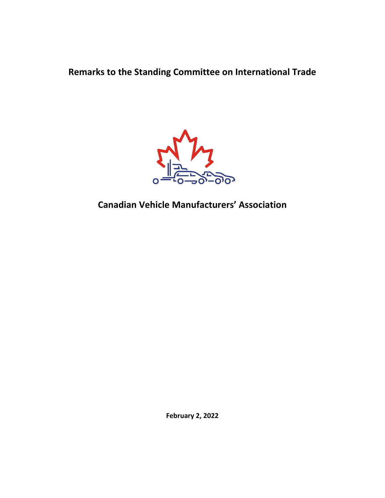**Remarks to the Standing Committee on International Trade** 



**Canadian Vehicle Manufacturers' Association**

**February 2, 2022**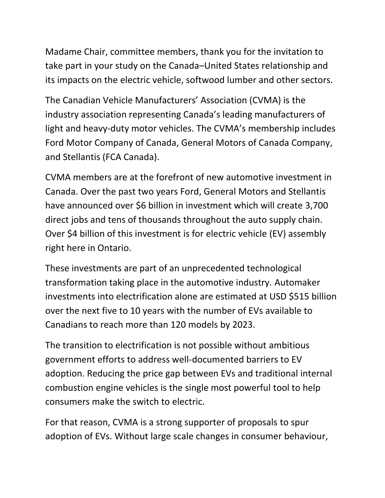Madame Chair, committee members, thank you for the invitation to take part in your study on the Canada–United States relationship and its impacts on the electric vehicle, softwood lumber and other sectors.

The Canadian Vehicle Manufacturers' Association (CVMA) is the industry association representing Canada's leading manufacturers of light and heavy-duty motor vehicles. The CVMA's membership includes Ford Motor Company of Canada, General Motors of Canada Company, and Stellantis (FCA Canada).

CVMA members are at the forefront of new automotive investment in Canada. Over the past two years Ford, General Motors and Stellantis have announced over \$6 billion in investment which will create 3,700 direct jobs and tens of thousands throughout the auto supply chain. Over \$4 billion of this investment is for electric vehicle (EV) assembly right here in Ontario.

These investments are part of an unprecedented technological transformation taking place in the automotive industry. Automaker investments into electrification alone are estimated at USD \$515 billion over the next five to 10 years with the number of EVs available to Canadians to reach more than 120 models by 2023.

The transition to electrification is not possible without ambitious government efforts to address well-documented barriers to EV adoption. Reducing the price gap between EVs and traditional internal combustion engine vehicles is the single most powerful tool to help consumers make the switch to electric.

For that reason, CVMA is a strong supporter of proposals to spur adoption of EVs. Without large scale changes in consumer behaviour,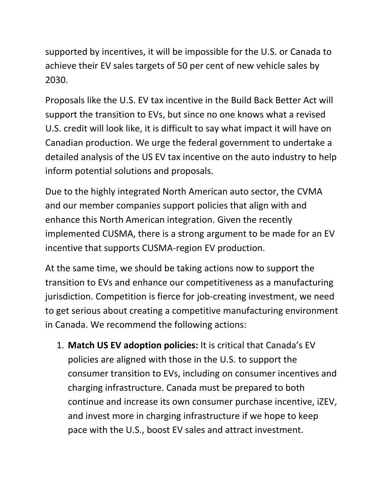supported by incentives, it will be impossible for the U.S. or Canada to achieve their EV sales targets of 50 per cent of new vehicle sales by 2030.

Proposals like the U.S. EV tax incentive in the Build Back Better Act will support the transition to EVs, but since no one knows what a revised U.S. credit will look like, it is difficult to say what impact it will have on Canadian production. We urge the federal government to undertake a detailed analysis of the US EV tax incentive on the auto industry to help inform potential solutions and proposals.

Due to the highly integrated North American auto sector, the CVMA and our member companies support policies that align with and enhance this North American integration. Given the recently implemented CUSMA, there is a strong argument to be made for an EV incentive that supports CUSMA-region EV production.

At the same time, we should be taking actions now to support the transition to EVs and enhance our competitiveness as a manufacturing jurisdiction. Competition is fierce for job-creating investment, we need to get serious about creating a competitive manufacturing environment in Canada. We recommend the following actions:

1. **Match US EV adoption policies:** It is critical that Canada's EV policies are aligned with those in the U.S. to support the consumer transition to EVs, including on consumer incentives and charging infrastructure. Canada must be prepared to both continue and increase its own consumer purchase incentive, iZEV, and invest more in charging infrastructure if we hope to keep pace with the U.S., boost EV sales and attract investment.